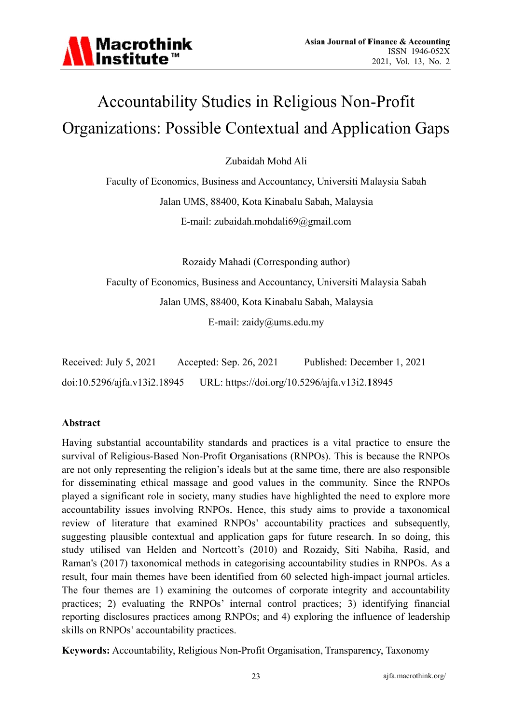# Accountability Studies in Religious Non-Profit Organizations: Possible Contextual and Application Gaps

Zubaidah Mohd Ali

Faculty of Economics, Business and Accountancy, Universiti Malaysia Sabah Jalan UMS, 88400, Kota Kinabalu Sabah, Malaysia E-mail: zubaidah.mohdali $69$ @gmail.com

Rozaidy Mahadi (Corresponding author)

Faculty of Economics, Business and Accountancy, Universiti Malaysia Sabah

Jalan UMS, 88400, Kota Kinabalu Sabah, Malaysia

E-mail:  $zaidy@ums.edu.my$ 

| Received: July 5, 2021       | Accepted: Sep. 26, 2021 | Published: December 1, 2021                   |
|------------------------------|-------------------------|-----------------------------------------------|
| doi:10.5296/ajfa.v13i2.18945 |                         | URL: https://doi.org/10.5296/ajfa.v13i2.18945 |

# **Abstract**

Having substantial accountability standards and practices is a vital practice to ensure the survival of Religious-Based Non-Profit Organisations (RNPOs). This is because the RNPOs are not only representing the religion's ideals but at the same time, there are also responsible for disseminating ethical massage and good values in the community. Since the RNPOs played a significant role in society, many studies have highlighted the need to explore more accountability issues involving RNPOs. Hence, this study aims to provide a taxonomical review of literature that examined RNPOs' accountability practices and subsequently, suggesting plausible contextual and application gaps for future research. In so doing, this study utilised van Helden and Nortcott's (2010) and Rozaidy, Siti Nabiha, Rasid, and Raman's (2017) taxonomical methods in categorising accountability studies in RNPOs. As a result, four main themes have been identified from 60 selected high-impact journal articles. The four themes are 1) examining the outcomes of corporate integrity and accountability practices; 2) evaluating the RNPOs' internal control practices; 3) identifying financial reporting disclosures practices among RNPOs; and 4) exploring the influence of leadership skills on RNPOs' accountability practices.

Keywords: Accountability, Religious Non-Profit Organisation, Transparency, Taxonomy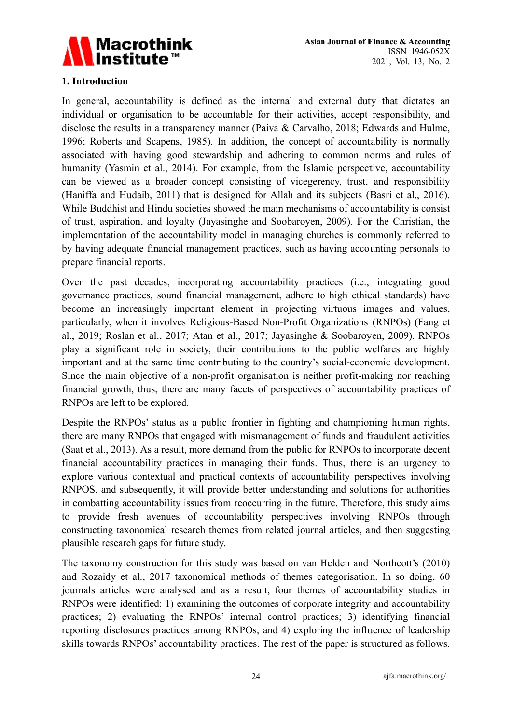

## 1. Introduction

In general, accountability is defined as the internal and external duty that dictates an individual or organisation to be accountable for their activities, accept responsibility, and disclose the results in a transparency manner (Paiva & Carvalho, 2018; Edwards and Hulme, 1996; Roberts and Scapens, 1985). In addition, the concept of accountability is normally associated with having good stewardship and adhering to common norms and rules of humanity (Yasmin et al., 2014). For example, from the Islamic perspective, accountability can be viewed as a broader concept consisting of vicegerency, trust, and responsibility (Haniffa and Hudaib, 2011) that is designed for Allah and its subjects (Basri et al., 2016). While Buddhist and Hindu societies showed the main mechanisms of accountability is consist of trust, aspiration, and lovalty (Javasinghe and Soobaroven, 2009). For the Christian, the implementation of the accountability model in managing churches is commonly referred to by having adequate financial management practices, such as having accounting personals to prepare financial reports.

Over the past decades, incorporating accountability practices (i.e., integrating good governance practices, sound financial management, adhere to high ethical standards) have become an increasingly important element in projecting virtuous images and values, particularly, when it involves Religious-Based Non-Profit Organizations (RNPOs) (Fang et al., 2019; Roslan et al., 2017; Atan et al., 2017; Jayasinghe & Soobaroven, 2009). RNPOs play a significant role in society, their contributions to the public welfares are highly important and at the same time contributing to the country's social-economic development. Since the main objective of a non-profit organisation is neither profit-making nor reaching financial growth, thus, there are many facets of perspectives of accountability practices of RNPOs are left to be explored.

Despite the RNPOs' status as a public frontier in fighting and championing human rights, there are many RNPOs that engaged with mismanagement of funds and fraudulent activities (Saat et al., 2013). As a result, more demand from the public for RNPOs to incorporate decent financial accountability practices in managing their funds. Thus, there is an urgency to explore various contextual and practical contexts of accountability perspectives involving RNPOS, and subsequently, it will provide better understanding and solutions for authorities in combatting accountability issues from reoccurring in the future. Therefore, this study aims to provide fresh avenues of accountability perspectives involving RNPOs through constructing taxonomical research themes from related journal articles, and then suggesting plausible research gaps for future study.

The taxonomy construction for this study was based on van Helden and Northcott's (2010) and Rozaidy et al., 2017 taxonomical methods of themes categorisation. In so doing, 60 journals articles were analysed and as a result, four themes of accountability studies in RNPOs were identified: 1) examining the outcomes of corporate integrity and accountability practices; 2) evaluating the RNPOs' internal control practices; 3) identifying financial reporting disclosures practices among RNPOs, and 4) exploring the influence of leadership skills towards RNPOs' accountability practices. The rest of the paper is structured as follows.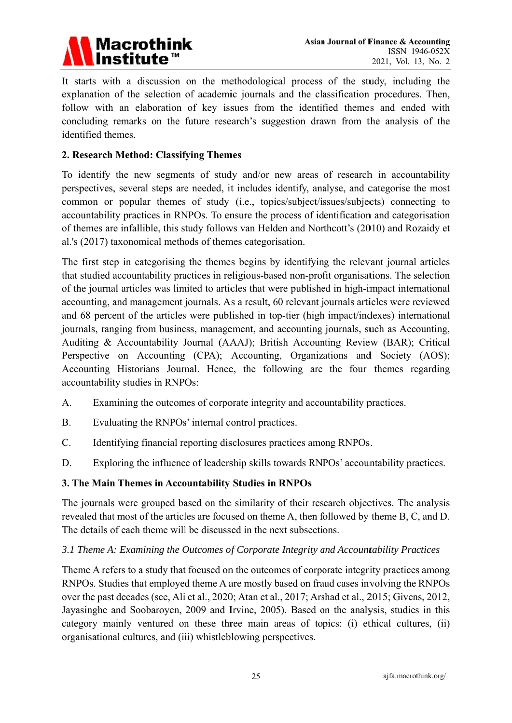

It starts with a discussion on the methodological process of the study, including the explanation of the selection of academic journals and the classification procedures. Then, follow with an elaboration of key issues from the identified themes and ended with concluding remarks on the future research's suggestion drawn from the analysis of the identified themes.

### 2. Research Method: Classifying Themes

To identify the new segments of study and/or new areas of research in accountability perspectives, several steps are needed, it includes identify, analyse, and categorise the most common or popular themes of study (i.e., topics/subject/issues/subjects) connecting to accountability practices in RNPOs. To ensure the process of identification and categorisation of themes are infallible, this study follows van Helden and Northcott's (2010) and Rozaidy et al.'s (2017) taxonomical methods of themes categorisation.

The first step in categorising the themes begins by identifying the relevant journal articles that studied accountability practices in religious-based non-profit organisations. The selection of the journal articles was limited to articles that were published in high-impact international accounting, and management journals. As a result, 60 relevant journals articles were reviewed and 68 percent of the articles were published in top-tier (high impact/indexes) international journals, ranging from business, management, and accounting journals, such as Accounting, Auditing & Accountability Journal (AAAJ); British Accounting Review (BAR); Critical Perspective on Accounting (CPA); Accounting, Organizations and Society (AOS); Accounting Historians Journal. Hence, the following are the four themes regarding accountability studies in RNPOs:

- $A<sub>1</sub>$ Examining the outcomes of corporate integrity and accountability practices.
- **B.** Evaluating the RNPOs' internal control practices.
- $C_{\cdot}$ Identifying financial reporting disclosures practices among RNPOs.
- D. Exploring the influence of leadership skills towards RNPOs' accountability practices.

### 3. The Main Themes in Accountability Studies in RNPOs

The journals were grouped based on the similarity of their research objectives. The analysis revealed that most of the articles are focused on theme A, then followed by theme B, C, and D. The details of each theme will be discussed in the next subsections.

### 3.1 Theme A: Examining the Outcomes of Corporate Integrity and Accountability Practices

Theme A refers to a study that focused on the outcomes of corporate integrity practices among RNPOs. Studies that employed theme A are mostly based on fraud cases involving the RNPOs over the past decades (see, Ali et al., 2020; Atan et al., 2017; Arshad et al., 2015; Givens, 2012, Jayasinghe and Soobaroven, 2009 and Irvine, 2005). Based on the analysis, studies in this category mainly ventured on these three main areas of topics: (i) ethical cultures, (ii) organisational cultures, and (iii) whistleblowing perspectives.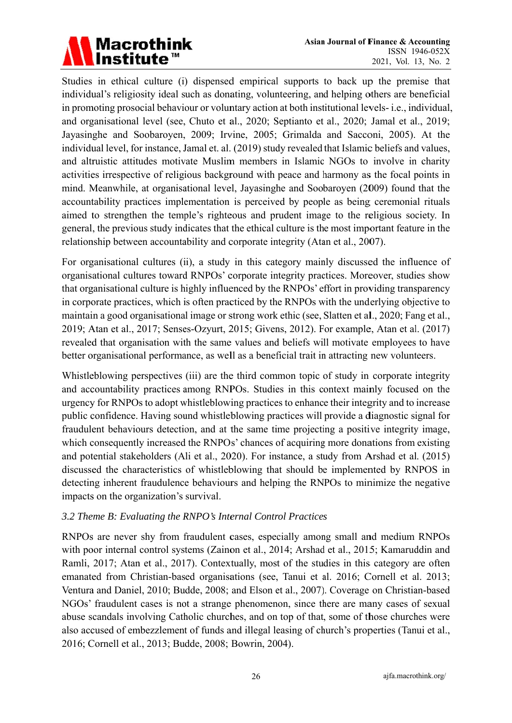# Macrothink<br>Institute™

Studies in ethical culture (i) dispensed empirical supports to back up the premise that individual's religiosity ideal such as donating, volunteering, and helping others are beneficial in promoting prosocial behaviour or voluntary action at both institutional levels-i.e., individual, and organisational level (see, Chuto et al., 2020; Septianto et al., 2020; Jamal et al., 2019; Jayasinghe and Soobaroven, 2009; Irvine, 2005; Grimalda and Sacconi, 2005). At the individual level, for instance, Jamal et. al. (2019) study revealed that Islamic beliefs and values, and altruistic attitudes motivate Muslim members in Islamic NGOs to involve in charity activities irrespective of religious background with peace and harmony as the focal points in mind. Meanwhile, at organisational level, Jayasinghe and Soobaroven (2009) found that the accountability practices implementation is perceived by people as being ceremonial rituals aimed to strengthen the temple's righteous and prudent image to the religious society. In general, the previous study indicates that the ethical culture is the most important feature in the relationship between accountability and corporate integrity (Atan et al., 2007).

For organisational cultures (ii), a study in this category mainly discussed the influence of organisational cultures toward RNPOs' corporate integrity practices. Moreover, studies show that organisational culture is highly influenced by the RNPOs' effort in providing transparency in corporate practices, which is often practiced by the RNPOs with the underlying objective to maintain a good organisational image or strong work ethic (see, Slatten et al., 2020; Fang et al., 2019; Atan et al., 2017; Senses-Ozyurt, 2015; Givens, 2012). For example, Atan et al. (2017) revealed that organisation with the same values and beliefs will motivate employees to have better organisational performance, as well as a beneficial trait in attracting new volunteers.

Whistleblowing perspectives (iii) are the third common topic of study in corporate integrity and accountability practices among RNPOs. Studies in this context mainly focused on the urgency for RNPOs to adopt whistleblowing practices to enhance their integrity and to increase public confidence. Having sound whistleblowing practices will provide a diagnostic signal for fraudulent behaviours detection, and at the same time projecting a positive integrity image, which consequently increased the RNPOs' chances of acquiring more donations from existing and potential stakeholders (Ali et al., 2020). For instance, a study from Arshad et al. (2015) discussed the characteristics of whistleblowing that should be implemented by RNPOS in detecting inherent fraudulence behaviours and helping the RNPOs to minimize the negative impacts on the organization's survival.

### 3.2 Theme B: Evaluating the RNPO's Internal Control Practices

RNPOs are never shy from fraudulent cases, especially among small and medium RNPOs with poor internal control systems (Zainon et al., 2014; Arshad et al., 2015; Kamaruddin and Ramli, 2017; Atan et al., 2017). Contextually, most of the studies in this category are often emanated from Christian-based organisations (see, Tanui et al. 2016; Cornell et al. 2013; Ventura and Daniel, 2010; Budde, 2008; and Elson et al., 2007). Coverage on Christian-based NGOs' fraudulent cases is not a strange phenomenon, since there are many cases of sexual abuse scandals involving Catholic churches, and on top of that, some of those churches were also accused of embezzlement of funds and illegal leasing of church's properties (Tanui et al., 2016; Cornell et al., 2013; Budde, 2008; Bowrin, 2004).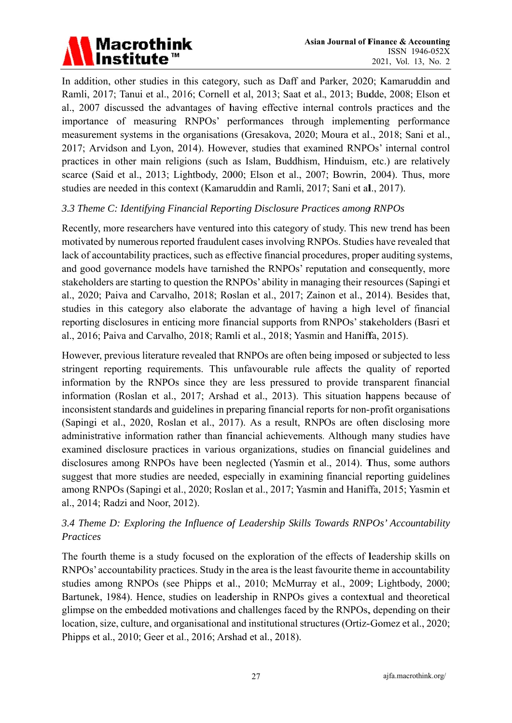

In addition, other studies in this category, such as Daff and Parker, 2020; Kamaruddin and Ramli, 2017; Tanui et al., 2016; Cornell et al, 2013; Saat et al., 2013; Budde, 2008; Elson et al., 2007 discussed the advantages of having effective internal controls practices and the importance of measuring RNPOs' performances through implementing performance measurement systems in the organisations (Gresakova, 2020; Moura et al., 2018; Sani et al., 2017; Arvidson and Lyon, 2014). However, studies that examined RNPOs' internal control practices in other main religions (such as Islam, Buddhism, Hinduism, etc.) are relatively scarce (Said et al., 2013; Lightbody, 2000; Elson et al., 2007; Bowrin, 2004). Thus, more studies are needed in this context (Kamaruddin and Ramli, 2017; Sani et al., 2017).

### 3.3 Theme C: Identifying Financial Reporting Disclosure Practices among RNPOs

Recently, more researchers have ventured into this category of study. This new trend has been motivated by numerous reported fraudulent cases involving RNPOs. Studies have revealed that lack of accountability practices, such as effective financial procedures, proper auditing systems, and good governance models have tarnished the RNPOs' reputation and consequently, more stakeholders are starting to question the RNPOs' ability in managing their resources (Sapingi et al., 2020; Paiva and Carvalho, 2018; Roslan et al., 2017; Zainon et al., 2014). Besides that, studies in this category also elaborate the advantage of having a high level of financial reporting disclosures in enticing more financial supports from RNPOs' stakeholders (Basri et al., 2016; Paiva and Carvalho, 2018; Ramli et al., 2018; Yasmin and Haniffa, 2015).

However, previous literature revealed that RNPOs are often being imposed or subjected to less stringent reporting requirements. This unfavourable rule affects the quality of reported information by the RNPOs since they are less pressured to provide transparent financial information (Roslan et al., 2017; Arshad et al., 2013). This situation happens because of inconsistent standards and guidelines in preparing financial reports for non-profit organisations (Sapingi et al., 2020, Roslan et al., 2017). As a result, RNPOs are often disclosing more administrative information rather than financial achievements. Although many studies have examined disclosure practices in various organizations, studies on financial guidelines and disclosures among RNPOs have been neglected (Yasmin et al., 2014). Thus, some authors suggest that more studies are needed, especially in examining financial reporting guidelines among RNPOs (Sapingi et al., 2020; Roslan et al., 2017; Yasmin and Haniffa, 2015; Yasmin et al., 2014; Radzi and Noor, 2012).

# 3.4 Theme D: Exploring the Influence of Leadership Skills Towards RNPOs' Accountability Practices

The fourth theme is a study focused on the exploration of the effects of leadership skills on RNPOs' accountability practices. Study in the area is the least favourite theme in accountability studies among RNPOs (see Phipps et al., 2010; McMurray et al., 2009; Lightbody, 2000; Bartunek, 1984). Hence, studies on leadership in RNPOs gives a contextual and theoretical glimpse on the embedded motivations and challenges faced by the RNPOs, depending on their location, size, culture, and organisational and institutional structures (Ortiz-Gomez et al., 2020; Phipps et al., 2010; Geer et al., 2016; Arshad et al., 2018).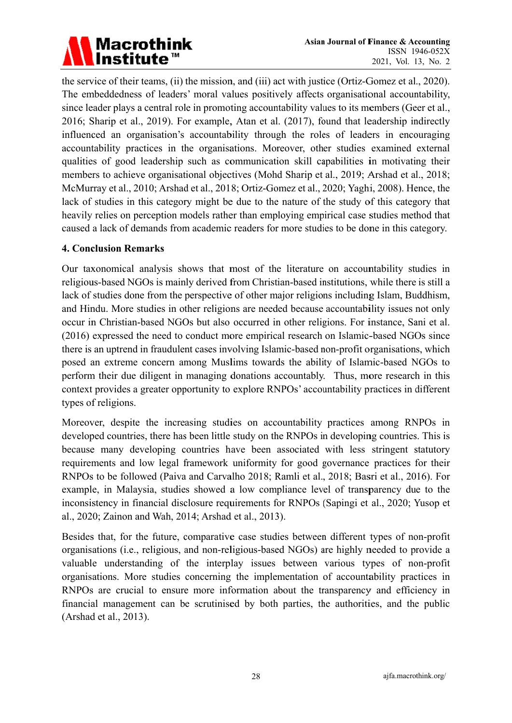# Macrothink<br>Institute™

the service of their teams, (ii) the mission, and (iii) act with justice (Ortiz-Gomez et al., 2020). The embeddedness of leaders' moral values positively affects organisational accountability, since leader plays a central role in promoting accountability values to its members (Geer et al., 2016; Sharip et al., 2019). For example, Atan et al. (2017), found that leadership indirectly influenced an organisation's accountability through the roles of leaders in encouraging accountability practices in the organisations. Moreover, other studies examined external qualities of good leadership such as communication skill capabilities in motivating their members to achieve organisational objectives (Mohd Sharip et al., 2019; Arshad et al., 2018; McMurray et al., 2010; Arshad et al., 2018; Ortiz-Gomez et al., 2020; Yaghi, 2008). Hence, the lack of studies in this category might be due to the nature of the study of this category that heavily relies on perception models rather than employing empirical case studies method that caused a lack of demands from academic readers for more studies to be done in this category.

## **4. Conclusion Remarks**

Our taxonomical analysis shows that most of the literature on accountability studies in religious-based NGOs is mainly derived from Christian-based institutions, while there is still a lack of studies done from the perspective of other major religions including Islam, Buddhism, and Hindu. More studies in other religions are needed because accountability issues not only occur in Christian-based NGOs but also occurred in other religions. For instance, Sani et al. (2016) expressed the need to conduct more empirical research on Islamic-based NGOs since there is an uptrend in fraudulent cases involving Islamic-based non-profit organisations, which posed an extreme concern among Muslims towards the ability of Islamic-based NGOs to perform their due diligent in managing donations accountably. Thus, more research in this context provides a greater opportunity to explore RNPOs' accountability practices in different types of religions.

Moreover, despite the increasing studies on accountability practices among RNPOs in developed countries, there has been little study on the RNPOs in developing countries. This is because many developing countries have been associated with less stringent statutory requirements and low legal framework uniformity for good governance practices for their RNPOs to be followed (Paiva and Carvalho 2018; Ramli et al., 2018; Basri et al., 2016). For example, in Malaysia, studies showed a low compliance level of transparency due to the inconsistency in financial disclosure requirements for RNPOs (Sapingi et al., 2020; Yusop et al., 2020; Zainon and Wah, 2014; Arshad et al., 2013).

Besides that, for the future, comparative case studies between different types of non-profit organisations (i.e., religious, and non-religious-based NGOs) are highly needed to provide a valuable understanding of the interplay issues between various types of non-profit organisations. More studies concerning the implementation of accountability practices in RNPOs are crucial to ensure more information about the transparency and efficiency in financial management can be scrutinised by both parties, the authorities, and the public (Arshad et al., 2013).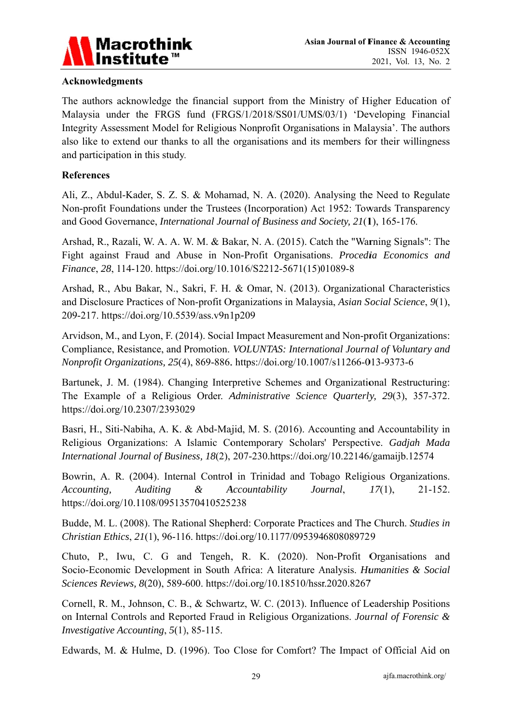

## **Acknowledgments**

The authors acknowledge the financial support from the Ministry of Higher Education of Malaysia under the FRGS fund (FRGS/1/2018/SS01/UMS/03/1) 'Developing Financial Integrity Assessment Model for Religious Nonprofit Organisations in Malaysia'. The authors also like to extend our thanks to all the organisations and its members for their willingness and participation in this study.

### **References**

Ali, Z., Abdul-Kader, S. Z. S. & Mohamad, N. A. (2020). Analysing the Need to Regulate Non-profit Foundations under the Trustees (Incorporation) Act 1952: Towards Transparency and Good Governance, *International Journal of Business and Society*, 21(1), 165-176.

Arshad, R., Razali, W. A. A. W. M. & Bakar, N. A. (2015). Catch the "Warning Signals": The Fight against Fraud and Abuse in Non-Profit Organisations. Procedia Economics and Finance, 28, 114-120. https://doi.org/10.1016/S2212-5671(15)01089-8

Arshad, R., Abu Bakar, N., Sakri, F. H. & Omar, N. (2013). Organizational Characteristics and Disclosure Practices of Non-profit Organizations in Malaysia, Asian Social Science, 9(1), 209-217. https://doi.org/10.5539/ass.y9n1p209

Arvidson, M., and Lyon, F. (2014). Social Impact Measurement and Non-profit Organizations: Compliance, Resistance, and Promotion. VOLUNTAS: International Journal of Voluntary and Nonprofit Organizations, 25(4), 869-886. https://doi.org/10.1007/s11266-013-9373-6

Bartunek, J. M. (1984). Changing Interpretive Schemes and Organizational Restructuring: The Example of a Religious Order. Administrative Science Quarterly, 29(3), 357-372. https://doi.org/10.2307/2393029

Basri, H., Siti-Nabiha, A. K. & Abd-Majid, M. S. (2016). Accounting and Accountability in Religious Organizations: A Islamic Contemporary Scholars' Perspective. Gadjah Mada International Journal of Business, 18(2), 207-230.https://doi.org/10.22146/gamaijb.12574

Bowrin, A. R. (2004). Internal Control in Trinidad and Tobago Religious Organizations. **Auditing**  $\&$ Accountability Journal, Accounting,  $17(1),$  $21 - 152.$ https://doi.org/10.1108/09513570410525238

Budde, M. L. (2008). The Rational Shepherd: Corporate Practices and The Church. Studies in Christian Ethics, 21(1), 96-116. https://doi.org/10.1177/0953946808089729

Chuto, P., Iwu, C. G and Tengeh, R. K. (2020). Non-Profit Organisations and Socio-Economic Development in South Africa: A literature Analysis. Humanities & Social Sciences Reviews, 8(20), 589-600. https://doi.org/10.18510/hssr.2020.8267

Cornell, R. M., Johnson, C. B., & Schwartz, W. C. (2013). Influence of Leadership Positions on Internal Controls and Reported Fraud in Religious Organizations. Journal of Forensic & *Investigative Accounting, 5(1), 85-115.* 

Edwards, M. & Hulme, D. (1996). Too Close for Comfort? The Impact of Official Aid on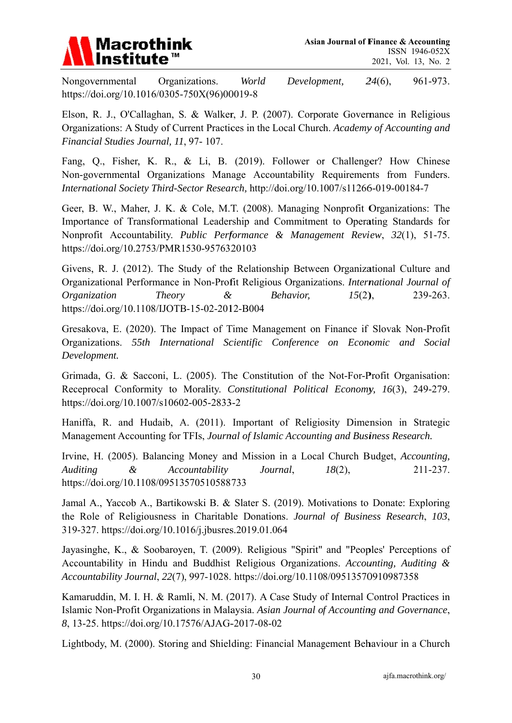

Nongovernmental Organizations. World Development,  $24(6)$ , 961-973. https://doi.org/10.1016/0305-750X(96)00019-8

Elson, R. J., O'Callaghan, S. & Walker, J. P. (2007). Corporate Governance in Religious Organizations: A Study of Current Practices in the Local Church. Academy of Accounting and Financial Studies Journal, 11, 97-107.

Fang, Q., Fisher, K. R., & Li, B. (2019). Follower or Challenger? How Chinese Non-governmental Organizations Manage Accountability Requirements from Funders. International Society Third-Sector Research, http://doi.org/10.1007/s11266-019-00184-7

Geer, B. W., Maher, J. K. & Cole, M.T. (2008). Managing Nonprofit Organizations: The Importance of Transformational Leadership and Commitment to Operating Standards for Nonprofit Accountability. Public Performance & Management Review, 32(1), 51-75. https://doi.org/10.2753/PMR1530-9576320103

Givens, R. J. (2012). The Study of the Relationship Between Organizational Culture and Organizational Performance in Non-Profit Religious Organizations. International Journal of Organization **Theory**  $\alpha$ **Behavior**,  $15(2)$ , 239-263. https://doi.org/10.1108/IJOTB-15-02-2012-B004

Gresakova, E. (2020). The Impact of Time Management on Finance if Slovak Non-Profit Organizations. 55th International Scientific Conference on Economic and Social Development.

Grimada, G. & Sacconi, L. (2005). The Constitution of the Not-For-Profit Organisation: Receprocal Conformity to Morality. Constitutional Political Economy, 16(3), 249-279. https://doi.org/10.1007/s10602-005-2833-2

Haniffa, R. and Hudaib, A. (2011). Important of Religiosity Dimension in Strategic Management Accounting for TFIs, Journal of Islamic Accounting and Business Research.

Irvine, H. (2005). Balancing Money and Mission in a Local Church Budget, Accounting,  $\mathcal{\&}$ **Auditing** Accountability Journal,  $18(2)$ , 211-237. https://doi.org/10.1108/09513570510588733

Jamal A., Yaccob A., Bartikowski B. & Slater S. (2019). Motivations to Donate: Exploring the Role of Religiousness in Charitable Donations. Journal of Business Research, 103, 319-327. https://doi.org/10.1016/j.jbusres.2019.01.064

Javasinghe, K., & Soobaroven, T. (2009). Religious "Spirit" and "Peoples' Perceptions of Accountability in Hindu and Buddhist Religious Organizations. Accounting, Auditing & Accountability Journal, 22(7), 997-1028. https://doi.org/10.1108/09513570910987358

Kamaruddin, M. I. H. & Ramli, N. M. (2017). A Case Study of Internal Control Practices in Islamic Non-Profit Organizations in Malaysia. Asian Journal of Accounting and Governance, 8, 13-25. https://doi.org/10.17576/AJAG-2017-08-02

Lightbody, M. (2000). Storing and Shielding: Financial Management Behaviour in a Church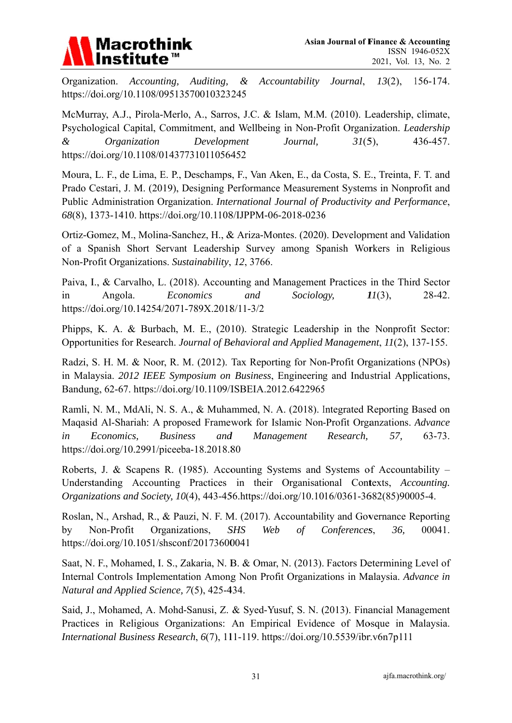# **Macrothink**

Organization. Accounting,  $\alpha$ Accountability Journal,  $13(2)$ , 156-174. Auditing, https://doi.org/10.1108/09513570010323245

McMurray, A.J., Pirola-Merlo, A., Sarros, J.C. & Islam, M.M. (2010). Leadership, climate, Psychological Capital, Commitment, and Wellbeing in Non-Profit Organization. Leadership  $\mathcal{L}$ *Organization* Development Journal.  $31(5)$ , 436-457. https://doi.org/10.1108/01437731011056452

Moura, L. F., de Lima, E. P., Deschamps, F., Van Aken, E., da Costa, S. E., Treinta, F. T. and Prado Cestari, J. M. (2019), Designing Performance Measurement Systems in Nonprofit and Public Administration Organization. International Journal of Productivity and Performance, 68(8), 1373-1410. https://doi.org/10.1108/IJPPM-06-2018-0236

Ortiz-Gomez, M., Molina-Sanchez, H., & Ariza-Montes. (2020). Development and Validation of a Spanish Short Servant Leadership Survey among Spanish Workers in Religious Non-Profit Organizations. Sustainability, 12, 3766.

Paiva, I., & Carvalho, L. (2018). Accounting and Management Practices in the Third Sector  $in$ Angola. Economics and Sociology,  $II(3)$ , 28-42. https://doi.org/10.14254/2071-789X.2018/11-3/2

Phipps, K. A. & Burbach, M. E., (2010). Strategic Leadership in the Nonprofit Sector: Opportunities for Research. Journal of Behavioral and Applied Management, 11(2), 137-155.

Radzi, S. H. M. & Noor, R. M. (2012). Tax Reporting for Non-Profit Organizations (NPOs) in Malaysia. 2012 IEEE Symposium on Business, Engineering and Industrial Applications, Bandung, 62-67. https://doi.org/10.1109/ISBEIA.2012.6422965

Ramli, N. M., MdAli, N. S. A., & Muhammed, N. A. (2018). Integrated Reporting Based on Maqasid Al-Shariah: A proposed Framework for Islamic Non-Profit Organzations. Advance  $in$ Economics, **Business** and Management Research, 57,  $63 - 73.$ https://doi.org/10.2991/piceeba-18.2018.80

Roberts, J. & Scapens R. (1985). Accounting Systems and Systems of Accountability  $-$ Understanding Accounting Practices in their Organisational Contexts, Accounting. Organizations and Society, 10(4), 443-456.https://doi.org/10.1016/0361-3682(85)90005-4.

Roslan, N., Arshad, R., & Pauzi, N. F. M. (2017). Accountability and Governance Reporting by Non-Profit Organizations, **SHS** Web  $\sigma f$ Conferences, 36, 00041. https://doi.org/10.1051/shsconf/20173600041

Saat, N. F., Mohamed, I. S., Zakaria, N. B. & Omar, N. (2013). Factors Determining Level of Internal Controls Implementation Among Non Profit Organizations in Malaysia. Advance in Natural and Applied Science, 7(5), 425-434.

Said, J., Mohamed, A. Mohd-Sanusi, Z. & Syed-Yusuf, S. N. (2013). Financial Management Practices in Religious Organizations: An Empirical Evidence of Mosque in Malaysia. International Business Research, 6(7), 111-119. https://doi.org/10.5539/ibr.v6n7p111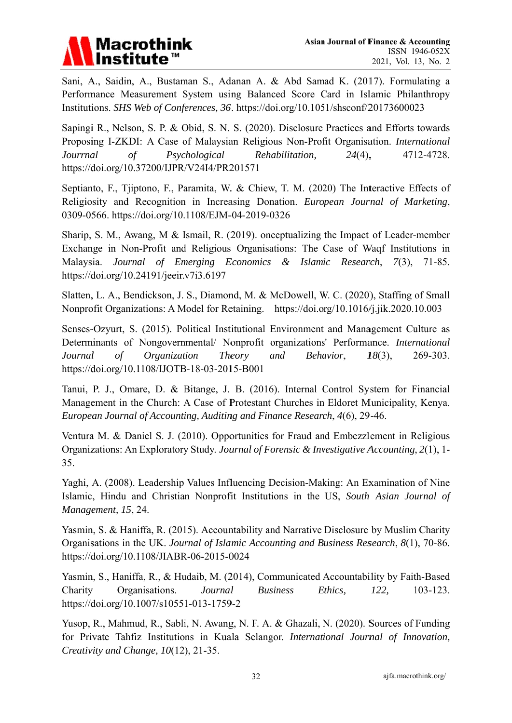

Sani, A., Saidin, A., Bustaman S., Adanan A. & Abd Samad K. (2017). Formulating a Performance Measurement System using Balanced Score Card in Islamic Philanthropy Institutions. SHS Web of Conferences, 36. https://doi.org/10.1051/shsconf/20173600023

Sapingi R., Nelson, S. P. & Obid, S. N. S. (2020). Disclosure Practices and Efforts towards Proposing I-ZKDI: A Case of Malaysian Religious Non-Profit Organisation. International Jourrnal  $\sigma f$ Psychological Rehabilitation,  $24(4)$ , 4712-4728. https://doi.org/10.37200/IJPR/V24I4/PR201571

Septianto, F., Tiiptono, F., Paramita, W. & Chiew, T. M. (2020) The Interactive Effects of Religiosity and Recognition in Increasing Donation. European Journal of Marketing, 0309-0566. https://doi.org/10.1108/EJM-04-2019-0326

Sharip, S. M., Awang, M & Ismail, R. (2019). onceptualizing the Impact of Leader-member Exchange in Non-Profit and Religious Organisations: The Case of Waqf Institutions in Malaysia. Journal of Emerging Economics & Islamic Research,  $7(3)$ , 71-85. https://doi.org/10.24191/jeeir.v7i3.6197

Slatten, L. A., Bendickson, J. S., Diamond, M. & McDowell, W. C. (2020), Staffing of Small Nonprofit Organizations: A Model for Retaining. https://doi.org/10.1016/j.jik.2020.10.003

Senses-Ozyurt, S. (2015). Political Institutional Environment and Management Culture as Determinants of Nongovernmental/ Nonprofit organizations' Performance. International Journal  $\sigma f$ Organization Theory and Behavior,  $I8(3)$ , 269-303. https://doi.org/10.1108/IJOTB-18-03-2015-B001

Tanui, P. J., Omare, D. & Bitange, J. B. (2016). Internal Control System for Financial Management in the Church: A Case of Protestant Churches in Eldoret Municipality, Kenya. European Journal of Accounting, Auditing and Finance Research, 4(6), 29-46.

Ventura M. & Daniel S. J. (2010). Opportunities for Fraud and Embezzlement in Religious Organizations: An Exploratory Study. Journal of Forensic & Investigative Accounting, 2(1), 1-35.

Yaghi, A. (2008). Leadership Values Influencing Decision-Making: An Examination of Nine Islamic, Hindu and Christian Nonprofit Institutions in the US, South Asian Journal of Management, 15, 24.

Yasmin, S. & Haniffa, R. (2015). Accountability and Narrative Disclosure by Muslim Charity Organisations in the UK. Journal of Islamic Accounting and Business Research, 8(1), 70-86. https://doi.org/10.1108/JIABR-06-2015-0024

Yasmin, S., Haniffa, R., & Hudaib, M. (2014), Communicated Accountability by Faith-Based Organisations. Journal **Business** Ethics. 122.  $103 - 123$ . Charity https://doi.org/10.1007/s10551-013-1759-2

Yusop, R., Mahmud, R., Sabli, N. Awang, N. F. A. & Ghazali, N. (2020). Sources of Funding for Private Tahfiz Institutions in Kuala Selangor. International Journal of Innovation, Creativity and Change, 10(12), 21-35.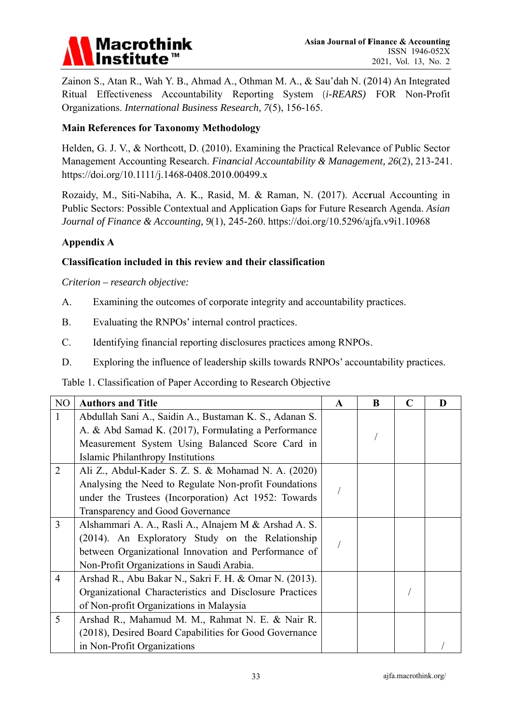

Zainon S., Atan R., Wah Y. B., Ahmad A., Othman M. A., & Sau'dah N. (2014) An Integrated Ritual Effectiveness Accountability Reporting System (*i-REARS*) FOR Non-Profit Organizations. International Business Research, 7(5), 156-165.

# **Main References for Taxonomy Methodology**

Helden, G. J. V., & Northcott, D. (2010). Examining the Practical Relevance of Public Sector Management Accounting Research. Financial Accountability & Management, 26(2), 213-241. https://doi.org/10.1111/j.1468-0408.2010.00499.x

Rozaidy, M., Siti-Nabiha, A. K., Rasid, M. & Raman, N. (2017). Accrual Accounting in Public Sectors: Possible Contextual and Application Gaps for Future Research Agenda. Asian Journal of Finance & Accounting, 9(1), 245-260. https://doi.org/10.5296/ajfa.v9i1.10968

## **Appendix A**

## Classification included in this review and their classification

Criterion – research objective:

- $A<sub>1</sub>$ Examining the outcomes of corporate integrity and accountability practices.
- $B<sub>r</sub>$ Evaluating the RNPOs' internal control practices.
- $C_{\cdot}$ Identifying financial reporting disclosures practices among RNPOs.
- D. Exploring the influence of leadership skills towards RNPOs' accountability practices.

### Table 1. Classification of Paper According to Research Objective

| N <sub>O</sub> | <b>Authors and Title</b>                                | $\mathbf{A}$ | B | C | D |
|----------------|---------------------------------------------------------|--------------|---|---|---|
| 1              | Abdullah Sani A., Saidin A., Bustaman K. S., Adanan S.  |              |   |   |   |
|                | A. & Abd Samad K. (2017), Formulating a Performance     |              |   |   |   |
|                | Measurement System Using Balanced Score Card in         |              |   |   |   |
|                | Islamic Philanthropy Institutions                       |              |   |   |   |
| $\overline{2}$ | Ali Z., Abdul-Kader S. Z. S. & Mohamad N. A. (2020)     |              |   |   |   |
|                | Analysing the Need to Regulate Non-profit Foundations   |              |   |   |   |
|                | under the Trustees (Incorporation) Act 1952: Towards    |              |   |   |   |
|                | Transparency and Good Governance                        |              |   |   |   |
| $\overline{3}$ | Alshammari A. A., Rasli A., Alnajem M & Arshad A. S.    |              |   |   |   |
|                | (2014). An Exploratory Study on the Relationship        |              |   |   |   |
|                | between Organizational Innovation and Performance of    |              |   |   |   |
|                | Non-Profit Organizations in Saudi Arabia.               |              |   |   |   |
| $\overline{4}$ | Arshad R., Abu Bakar N., Sakri F. H. & Omar N. (2013).  |              |   |   |   |
|                | Organizational Characteristics and Disclosure Practices |              |   |   |   |
|                | of Non-profit Organizations in Malaysia                 |              |   |   |   |
| 5              | Arshad R., Mahamud M. M., Rahmat N. E. & Nair R.        |              |   |   |   |
|                | (2018), Desired Board Capabilities for Good Governance  |              |   |   |   |
|                | in Non-Profit Organizations                             |              |   |   |   |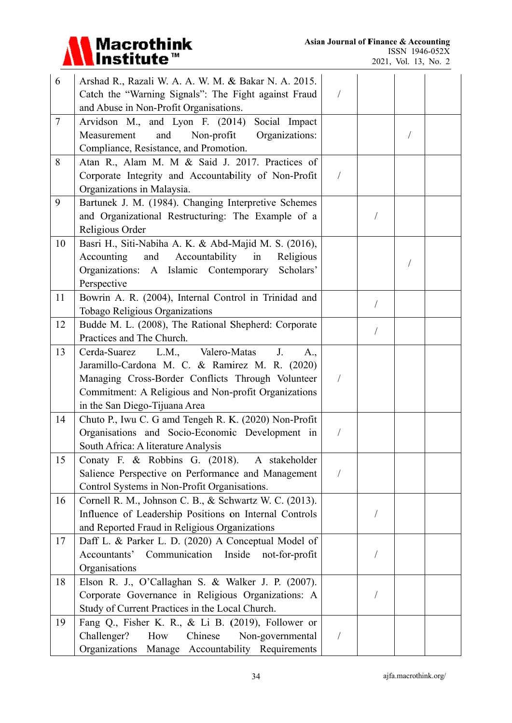

| 6      | Arshad R., Razali W. A. A. W. M. & Bakar N. A. 2015.     |                |  |  |
|--------|----------------------------------------------------------|----------------|--|--|
|        | Catch the "Warning Signals": The Fight against Fraud     |                |  |  |
|        | and Abuse in Non-Profit Organisations.                   |                |  |  |
| $\tau$ | Arvidson M., and Lyon F. (2014) Social Impact            |                |  |  |
|        | Organizations:<br>Measurement<br>and<br>Non-profit       |                |  |  |
|        | Compliance, Resistance, and Promotion.                   |                |  |  |
| 8      | Atan R., Alam M. M & Said J. 2017. Practices of          |                |  |  |
|        | Corporate Integrity and Accountability of Non-Profit     | /              |  |  |
|        | Organizations in Malaysia.                               |                |  |  |
| 9      | Bartunek J. M. (1984). Changing Interpretive Schemes     |                |  |  |
|        | and Organizational Restructuring: The Example of a       |                |  |  |
|        | Religious Order                                          |                |  |  |
| 10     | Basri H., Siti-Nabiha A. K. & Abd-Majid M. S. (2016),    |                |  |  |
|        | Accounting<br>and<br>Accountability<br>in<br>Religious   |                |  |  |
|        | Organizations: A Islamic Contemporary<br>Scholars'       |                |  |  |
|        | Perspective                                              |                |  |  |
| 11     | Bowrin A. R. (2004), Internal Control in Trinidad and    |                |  |  |
|        | Tobago Religious Organizations                           |                |  |  |
| 12     | Budde M. L. (2008), The Rational Shepherd: Corporate     |                |  |  |
|        | Practices and The Church.                                |                |  |  |
| 13     | L.M., Valero-Matas<br>Cerda-Suarez<br>$J_{\cdot}$<br>A., |                |  |  |
|        | Jaramillo-Cardona M. C. & Ramirez M. R. (2020)           |                |  |  |
|        | Managing Cross-Border Conflicts Through Volunteer        |                |  |  |
|        | Commitment: A Religious and Non-profit Organizations     |                |  |  |
|        | in the San Diego-Tijuana Area                            |                |  |  |
| 14     | Chuto P., Iwu C. G amd Tengeh R. K. (2020) Non-Profit    |                |  |  |
|        | Organisations and Socio-Economic Development in          |                |  |  |
|        | South Africa: A literature Analysis                      |                |  |  |
| 15     | Conaty F. & Robbins G. (2018). A stakeholder             |                |  |  |
|        | Salience Perspective on Performance and Management       | /              |  |  |
|        | Control Systems in Non-Profit Organisations.             |                |  |  |
| 16     | Cornell R. M., Johnson C. B., & Schwartz W. C. (2013).   |                |  |  |
|        | Influence of Leadership Positions on Internal Controls   |                |  |  |
|        | and Reported Fraud in Religious Organizations            |                |  |  |
| 17     | Daff L. & Parker L. D. (2020) A Conceptual Model of      |                |  |  |
|        | Inside<br>Accountants' Communication<br>not-for-profit   |                |  |  |
|        | Organisations                                            |                |  |  |
| 18     | Elson R. J., O'Callaghan S. & Walker J. P. (2007).       |                |  |  |
|        | Corporate Governance in Religious Organizations: A       |                |  |  |
|        | Study of Current Practices in the Local Church.          |                |  |  |
| 19     | Fang Q., Fisher K. R., & Li B. (2019), Follower or       |                |  |  |
|        | Challenger?<br>Chinese<br>How<br>Non-governmental        | $\overline{1}$ |  |  |
|        | Organizations Manage Accountability Requirements         |                |  |  |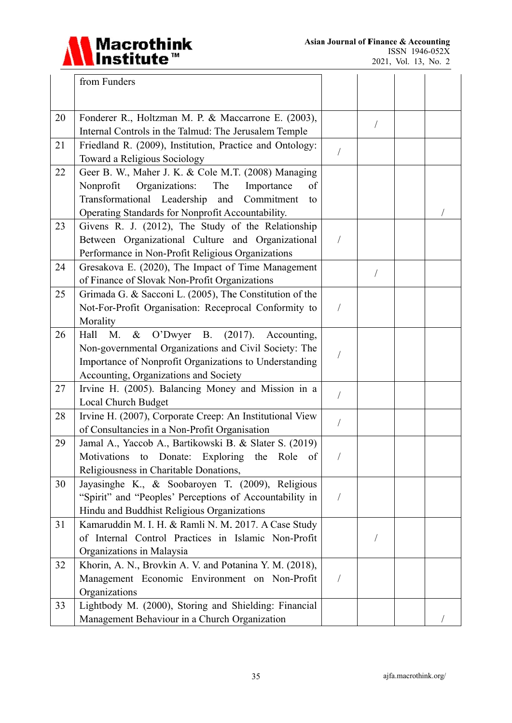

|    | from Funders                                                                                                                                                                                                                 |            |            |  |
|----|------------------------------------------------------------------------------------------------------------------------------------------------------------------------------------------------------------------------------|------------|------------|--|
|    |                                                                                                                                                                                                                              |            |            |  |
| 20 | Fonderer R., Holtzman M. P. & Maccarrone E. (2003),<br>Internal Controls in the Talmud: The Jerusalem Temple                                                                                                                 |            | $\sqrt{2}$ |  |
| 21 | Friedland R. (2009), Institution, Practice and Ontology:<br>Toward a Religious Sociology                                                                                                                                     |            |            |  |
| 22 | Geer B. W., Maher J. K. & Cole M.T. (2008) Managing<br>Organizations:<br>Nonprofit<br>The<br>of<br>Importance<br>Transformational Leadership<br>and<br>Commitment<br>to<br>Operating Standards for Nonprofit Accountability. |            |            |  |
| 23 | Givens R. J. (2012), The Study of the Relationship<br>Between Organizational Culture and Organizational<br>Performance in Non-Profit Religious Organizations                                                                 | $\bigg)$   |            |  |
| 24 | Gresakova E. (2020), The Impact of Time Management<br>of Finance of Slovak Non-Profit Organizations                                                                                                                          |            |            |  |
| 25 | Grimada G. & Sacconi L. (2005), The Constitution of the<br>Not-For-Profit Organisation: Receprocal Conformity to<br>Morality                                                                                                 |            |            |  |
| 26 | & O'Dwyer B. (2017). Accounting,<br>Hall<br>M.<br>Non-governmental Organizations and Civil Society: The<br>Importance of Nonprofit Organizations to Understanding<br>Accounting, Organizations and Society                   |            |            |  |
| 27 | Irvine H. (2005). Balancing Money and Mission in a<br>Local Church Budget                                                                                                                                                    | /          |            |  |
| 28 | Irvine H. (2007), Corporate Creep: An Institutional View<br>of Consultancies in a Non-Profit Organisation                                                                                                                    | $\sqrt{2}$ |            |  |
| 29 | Jamal A., Yaccob A., Bartikowski B. & Slater S. (2019)<br>Motivations to Donate: Exploring the<br>Role<br>of<br>Religiousness in Charitable Donations,                                                                       |            |            |  |
| 30 | Jayasinghe K., & Soobaroyen T. (2009), Religious<br>"Spirit" and "Peoples' Perceptions of Accountability in<br>Hindu and Buddhist Religious Organizations                                                                    | $\sqrt{2}$ |            |  |
| 31 | Kamaruddin M. I. H. & Ramli N. M. 2017. A Case Study<br>of Internal Control Practices in Islamic Non-Profit<br>Organizations in Malaysia                                                                                     |            |            |  |
| 32 | Khorin, A. N., Brovkin A. V. and Potanina Y. M. (2018),<br>Management Economic Environment on Non-Profit<br>Organizations                                                                                                    | $\sqrt{2}$ |            |  |
| 33 | Lightbody M. (2000), Storing and Shielding: Financial<br>Management Behaviour in a Church Organization                                                                                                                       |            |            |  |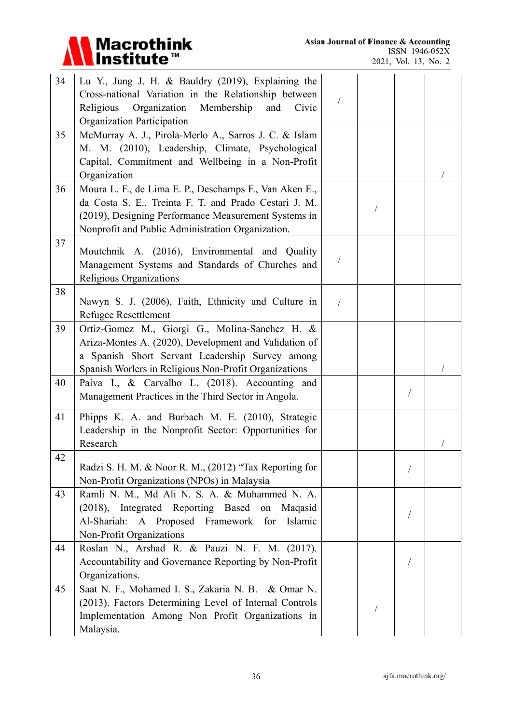

| 34 | Lu Y., Jung J. H. & Bauldry (2019), Explaining the<br>Cross-national Variation in the Relationship between<br>Organization<br>Religious<br>Membership<br>and<br>Civic<br>Organization Participation                          |            |  |  |
|----|------------------------------------------------------------------------------------------------------------------------------------------------------------------------------------------------------------------------------|------------|--|--|
| 35 | McMurray A. J., Pirola-Merlo A., Sarros J. C. & Islam<br>M. M. (2010), Leadership, Climate, Psychological<br>Capital, Commitment and Wellbeing in a Non-Profit<br>Organization                                               |            |  |  |
| 36 | Moura L. F., de Lima E. P., Deschamps F., Van Aken E.,<br>da Costa S. E., Treinta F. T. and Prado Cestari J. M.<br>(2019), Designing Performance Measurement Systems in<br>Nonprofit and Public Administration Organization. |            |  |  |
| 37 | Moutchnik A. (2016), Environmental and Quality<br>Management Systems and Standards of Churches and<br>Religious Organizations                                                                                                |            |  |  |
| 38 | Nawyn S. J. (2006), Faith, Ethnicity and Culture in<br>Refugee Resettlement                                                                                                                                                  | $\sqrt{2}$ |  |  |
| 39 | Ortiz-Gomez M., Giorgi G., Molina-Sanchez H. &<br>Ariza-Montes A. (2020), Development and Validation of<br>a Spanish Short Servant Leadership Survey among<br>Spanish Worlers in Religious Non-Profit Organizations          |            |  |  |
| 40 | Paiva I., & Carvalho L. (2018). Accounting and<br>Management Practices in the Third Sector in Angola.                                                                                                                        |            |  |  |
| 41 | Phipps K. A. and Burbach M. E. (2010), Strategic<br>Leadership in the Nonprofit Sector: Opportunities for<br>Research                                                                                                        |            |  |  |
| 42 | Radzi S. H. M. & Noor R. M., (2012) "Tax Reporting for<br>Non-Profit Organizations (NPOs) in Malaysia                                                                                                                        |            |  |  |
| 43 | Ramli N. M., Md Ali N. S. A. & Muhammed N. A.<br>(2018), Integrated Reporting Based on<br>Maqasid<br>Al-Shariah: A Proposed Framework for<br>Islamic<br>Non-Profit Organizations                                             |            |  |  |
| 44 | Roslan N., Arshad R. & Pauzi N. F. M. (2017).<br>Accountability and Governance Reporting by Non-Profit<br>Organizations.                                                                                                     |            |  |  |
| 45 | Saat N. F., Mohamed I. S., Zakaria N. B. & Omar N.<br>(2013). Factors Determining Level of Internal Controls<br>Implementation Among Non Profit Organizations in<br>Malaysia.                                                |            |  |  |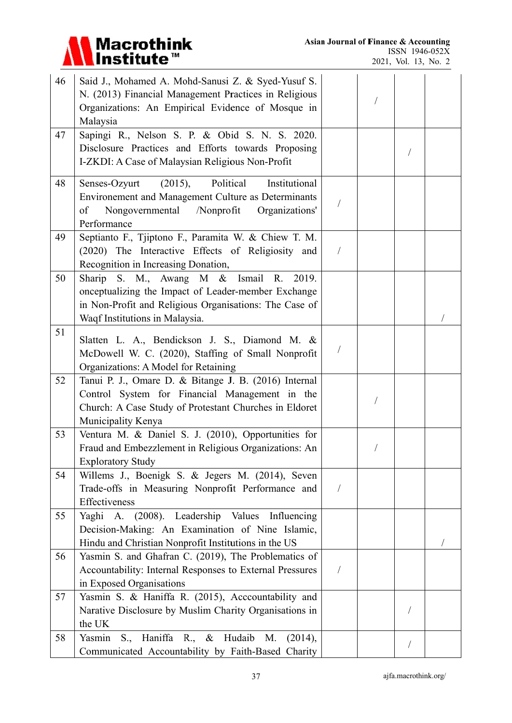

| 46 | Said J., Mohamed A. Mohd-Sanusi Z. & Syed-Yusuf S.<br>N. (2013) Financial Management Practices in Religious<br>Organizations: An Empirical Evidence of Mosque in<br>Malaysia               |            |  |  |
|----|--------------------------------------------------------------------------------------------------------------------------------------------------------------------------------------------|------------|--|--|
| 47 | Sapingi R., Nelson S. P. & Obid S. N. S. 2020.<br>Disclosure Practices and Efforts towards Proposing<br>I-ZKDI: A Case of Malaysian Religious Non-Profit                                   |            |  |  |
| 48 | (2015),<br>Political<br>Institutional<br>Senses-Ozyurt<br>Environement and Management Culture as Determinants<br>Nongovernmental<br>/Nonprofit<br>Organizations'<br>of<br>Performance      |            |  |  |
| 49 | Septianto F., Tjiptono F., Paramita W. & Chiew T. M.<br>(2020) The Interactive Effects of Religiosity and<br>Recognition in Increasing Donation,                                           | $\sqrt{2}$ |  |  |
| 50 | Sharip S. M., Awang M & Ismail R. 2019.<br>onceptualizing the Impact of Leader-member Exchange<br>in Non-Profit and Religious Organisations: The Case of<br>Waqf Institutions in Malaysia. |            |  |  |
| 51 | Slatten L. A., Bendickson J. S., Diamond M. &<br>McDowell W. C. (2020), Staffing of Small Nonprofit<br>Organizations: A Model for Retaining                                                |            |  |  |
| 52 | Tanui P. J., Omare D. & Bitange J. B. (2016) Internal<br>Control System for Financial Management in the<br>Church: A Case Study of Protestant Churches in Eldoret<br>Municipality Kenya    |            |  |  |
| 53 | Ventura M. & Daniel S. J. (2010), Opportunities for<br>Fraud and Embezzlement in Religious Organizations: An<br><b>Exploratory Study</b>                                                   |            |  |  |
| 54 | Willems J., Boenigk S. & Jegers M. (2014), Seven<br>Trade-offs in Measuring Nonprofit Performance and<br>Effectiveness                                                                     | T          |  |  |
| 55 | Yaghi A. (2008). Leadership Values Influencing<br>Decision-Making: An Examination of Nine Islamic,<br>Hindu and Christian Nonprofit Institutions in the US                                 |            |  |  |
| 56 | Yasmin S. and Ghafran C. (2019), The Problematics of<br>Accountability: Internal Responses to External Pressures<br>in Exposed Organisations                                               | $\sqrt{2}$ |  |  |
| 57 | Yasmin S. & Haniffa R. (2015), Acccountability and<br>Narative Disclosure by Muslim Charity Organisations in<br>the UK                                                                     |            |  |  |
| 58 | S., Haniffa R., & Hudaib<br>Yasmin<br>M.<br>(2014),<br>Communicated Accountability by Faith-Based Charity                                                                                  |            |  |  |